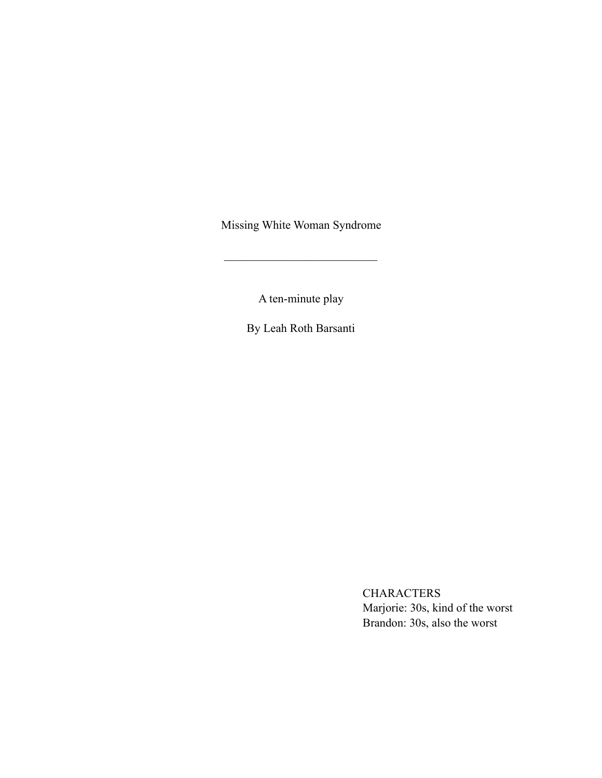Missing White Woman Syndrome

 $\mathcal{L}_\text{max}$  , where  $\mathcal{L}_\text{max}$  and  $\mathcal{L}_\text{max}$ 

A ten-minute play

By Leah Roth Barsanti

CHARACTERS Marjorie: 30s, kind of the worst Brandon: 30s, also the worst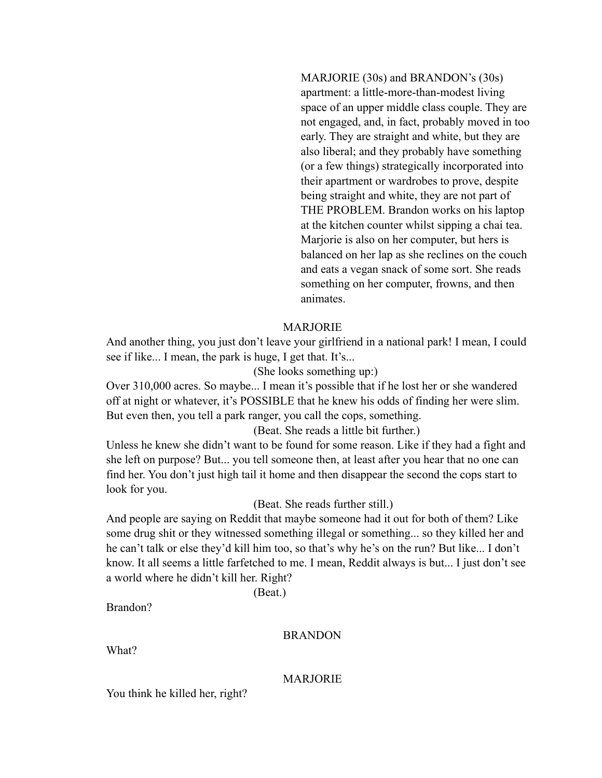MARJORIE (30s) and BRANDON's (30s) apartment: a little-more-than-modest living space of an upper middle class couple. They are not engaged, and, in fact, probably moved in too early. They are straight and white, but they are also liberal; and they probably have something (or a few things) strategically incorporated into their apartment or wardrobes to prove, despite being straight and white, they are not part of THE PROBLEM. Brandon works on his laptop at the kitchen counter whilst sipping a chai tea. Marjorie is also on her computer, but hers is balanced on her lap as she reclines on the couch and eats a vegan snack of some sort. She reads something on her computer, frowns, and then animates.

# MARJORIE

And another thing, you just don't leave your girlfriend in a national park! I mean, I could see if like... I mean, the park is huge, I get that. It's...

# (She looks something up:)

Over 310,000 acres. So maybe... I mean it's possible that if he lost her or she wandered off at night or whatever, it's POSSIBLE that he knew his odds of finding her were slim. But even then, you tell a park ranger, you call the cops, something.

(Beat. She reads a little bit further.)

Unless he knew she didn't want to be found for some reason. Like if they had a fight and she left on purpose? But... you tell someone then, at least after you hear that no one can find her. You don't just high tail it home and then disappear the second the cops start to look for you.

# (Beat. She reads further still.)

And people are saying on Reddit that maybe someone had it out for both of them? Like some drug shit or they witnessed something illegal or something... so they killed her and he can't talk or else they'd kill him too, so that's why he's on the run? But like... I don't know. It all seems a little farfetched to me. I mean, Reddit always is but... I just don't see a world where he didn't kill her. Right?

(Beat.)

Brandon?

#### **BRANDON**

What?

#### MARJORIE

You think he killed her, right?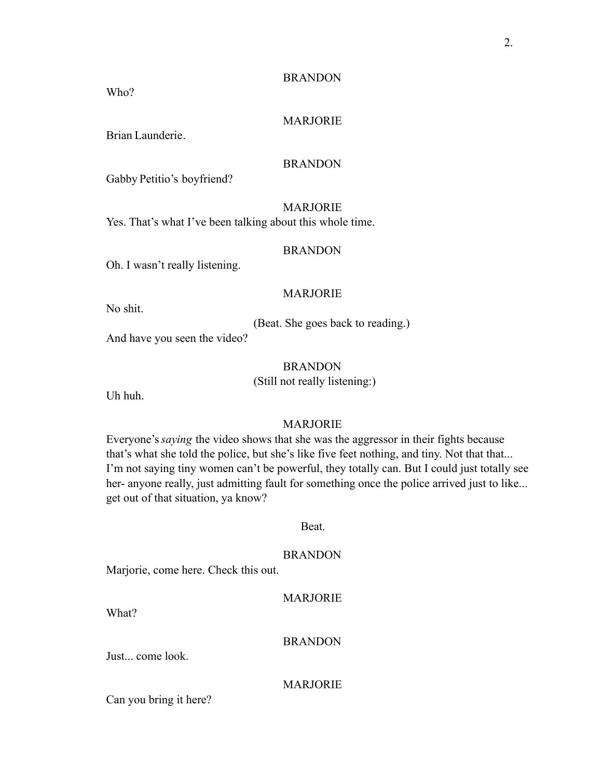Who?

## MARJORIE

Brian Launderie.

# BRANDON

Gabby Petitio's boyfriend?

# MARJORIE

Yes. That's what I've been talking about this whole time.

# BRANDON

Oh. I wasn't really listening.

#### MARJORIE

No shit.

(Beat. She goes back to reading.)

And have you seen the video?

#### BRANDON

(Still not really listening:)

Uh huh.

# MARJORIE

Everyone's*saying* the video shows that she was the aggressor in their fights because that's what she told the police, but she's like five feet nothing, and tiny. Not that that... I'm not saying tiny women can't be powerful, they totally can. But I could just totally see her- anyone really, just admitting fault for something once the police arrived just to like... get out of that situation, ya know?

#### Beat.

#### BRANDON

Marjorie, come here. Check this out.

## MARJORIE

What?

#### BRANDON

Just... come look.

## MARJORIE

Can you bring it here?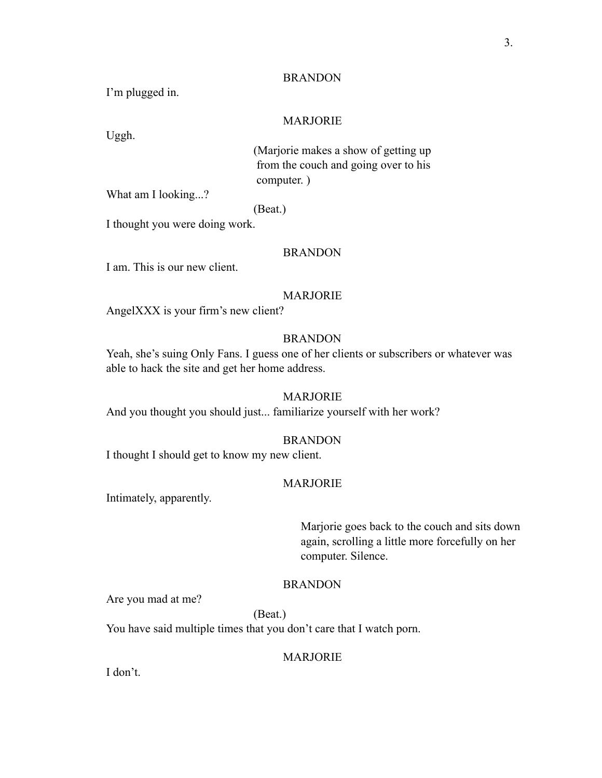I'm plugged in.

Uggh.

# MARJORIE

(Marjorie makes a show of getting up from the couch and going over to his computer. )

What am I looking...?

#### (Beat.)

I thought you were doing work.

#### BRANDON

I am. This is our new client.

#### MARJORIE

AngelXXX is your firm's new client?

# BRANDON

Yeah, she's suing Only Fans. I guess one of her clients or subscribers or whatever was able to hack the site and get her home address.

#### MARJORIE

And you thought you should just... familiarize yourself with her work?

# BRANDON

I thought I should get to know my new client.

#### MARJORIE

Intimately, apparently.

Marjorie goes back to the couch and sits down again, scrolling a little more forcefully on her computer. Silence.

# BRANDON

Are you mad at me?

(Beat.) You have said multiple times that you don't care that I watch porn.

#### MARJORIE

I don't.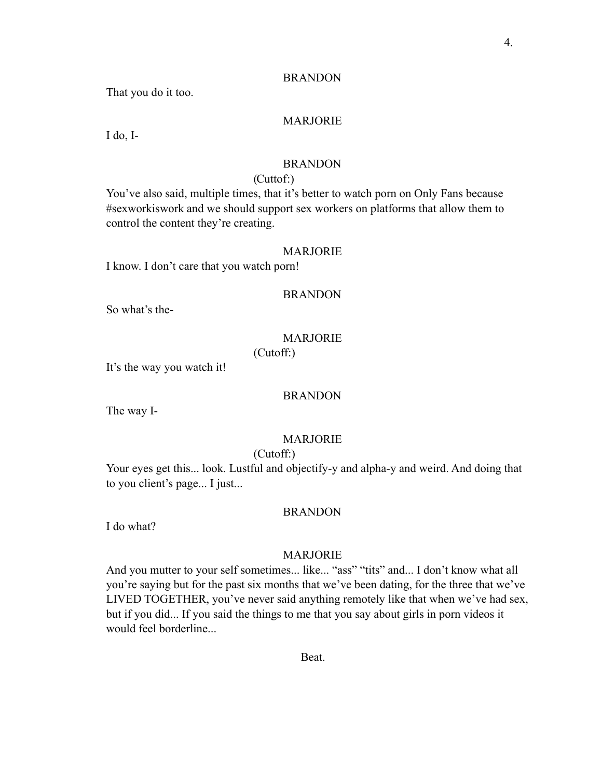That you do it too.

## MARJORIE

I do, I-

# BRANDON

# (Cuttof:)

You've also said, multiple times, that it's better to watch porn on Only Fans because #sexworkiswork and we should support sex workers on platforms that allow them to control the content they're creating.

#### MARJORIE

I know. I don't care that you watch porn!

#### BRANDON

So what's the-

# MARJORIE

(Cutoff:)

It's the way you watch it!

## BRANDON

The way I-

### MARJORIE

# (Cutoff:)

Your eyes get this... look. Lustful and objectify-y and alpha-y and weird. And doing that to you client's page... I just...

### BRANDON

I do what?

#### MARJORIE

And you mutter to your self sometimes... like... "ass" "tits" and... I don't know what all you're saying but for the past six months that we've been dating, for the three that we've LIVED TOGETHER, you've never said anything remotely like that when we've had sex, but if you did... If you said the things to me that you say about girls in porn videos it would feel borderline...

**Beat**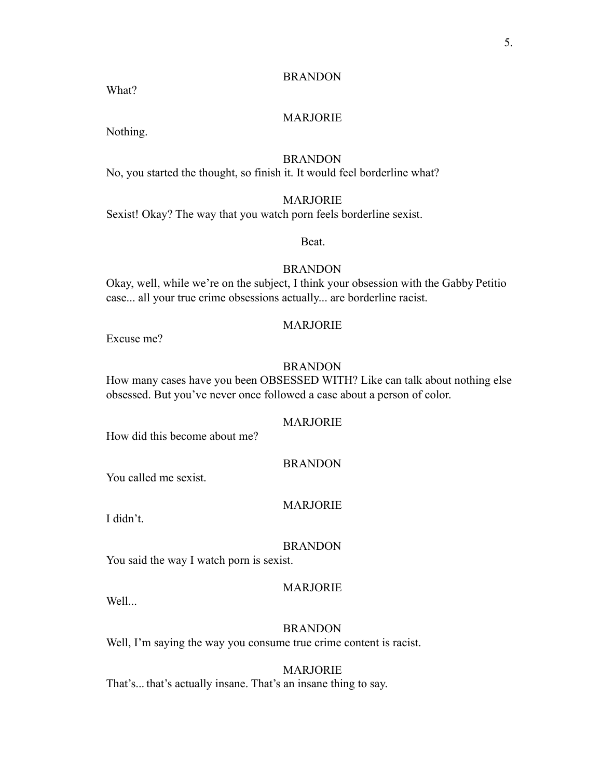What?

## MARJORIE

Nothing.

# **BRANDON**

No, you started the thought, so finish it. It would feel borderline what?

## MARJORIE

Sexist! Okay? The way that you watch porn feels borderline sexist.

Beat.

# BRANDON

Okay, well, while we're on the subject, I think your obsession with the Gabby Petitio case... all your true crime obsessions actually... are borderline racist.

# MARJORIE

Excuse me?

#### BRANDON

How many cases have you been OBSESSED WITH? Like can talk about nothing else obsessed. But you've never once followed a case about a person of color.

# MARJORIE

How did this become about me?

#### BRANDON

You called me sexist.

#### MARJORIE

I didn't.

#### BRANDON

You said the way I watch porn is sexist.

#### Well...

MARJORIE

**BRANDON** Well, I'm saying the way you consume true crime content is racist.

# MARJORIE

That's... that's actually insane. That's an insane thing to say.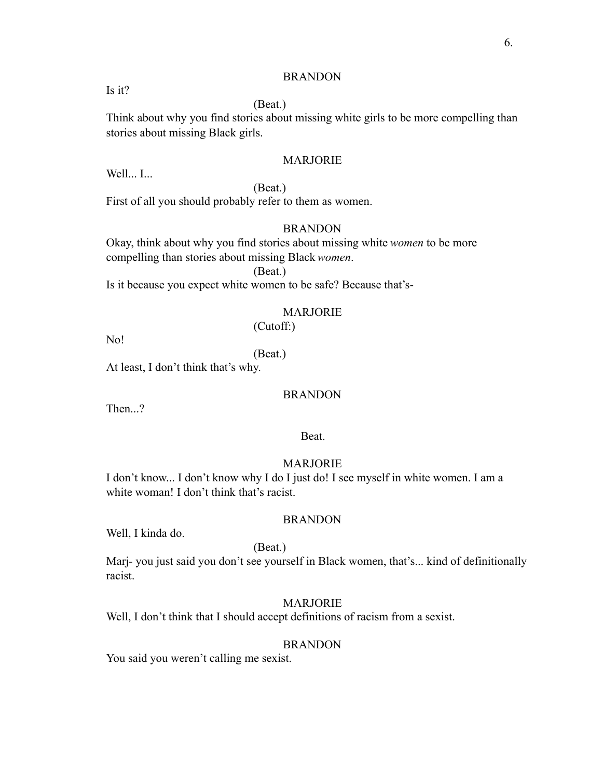Is it?

# (Beat.)

Think about why you find stories about missing white girls to be more compelling than stories about missing Black girls.

#### MARJORIE

Well... I...

(Beat.)

First of all you should probably refer to them as women.

## BRANDON

Okay, think about why you find stories about missing white *women* to be more compelling than stories about missing Black *women*.

(Beat.)

Is it because you expect white women to be safe? Because that's-

# MARJORIE

(Cutoff:)

No!

(Beat.)

At least, I don't think that's why.

#### BRANDON

Then...?

Beat.

### MARJORIE

I don't know... I don't know why I do I just do! I see myself in white women. I am a white woman! I don't think that's racist.

## BRANDON

Well, I kinda do.

#### (Beat.)

Marj- you just said you don't see yourself in Black women, that's... kind of definitionally racist.

## MARJORIE

Well, I don't think that I should accept definitions of racism from a sexist.

#### BRANDON

You said you weren't calling me sexist.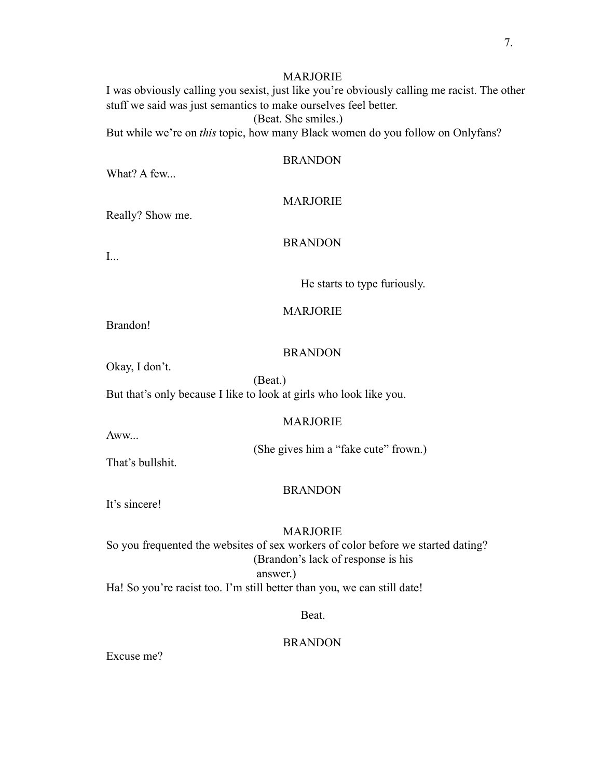# MARJORIE

I was obviously calling you sexist, just like you're obviously calling me racist. The other stuff we said was just semantics to make ourselves feel better.

(Beat. She smiles.)

But while we're on *this* topic, how many Black women do you follow on Onlyfans?

BRANDON

What? A few...

# MARJORIE

Really? Show me.

# BRANDON

I...

He starts to type furiously.

# MARJORIE

Brandon!

# BRANDON

Okay, I don't.

(Beat.)

But that's only because I like to look at girls who look like you.

# MARJORIE

Aww...

(She gives him a "fake cute" frown.)

That's bullshit.

## BRANDON

It's sincere!

# MARJORIE So you frequented the websites of sex workers of color before we started dating? (Brandon's lack of response is his

answer.)

Ha! So you're racist too. I'm still better than you, we can still date!

# Beat.

# **BRANDON**

Excuse me?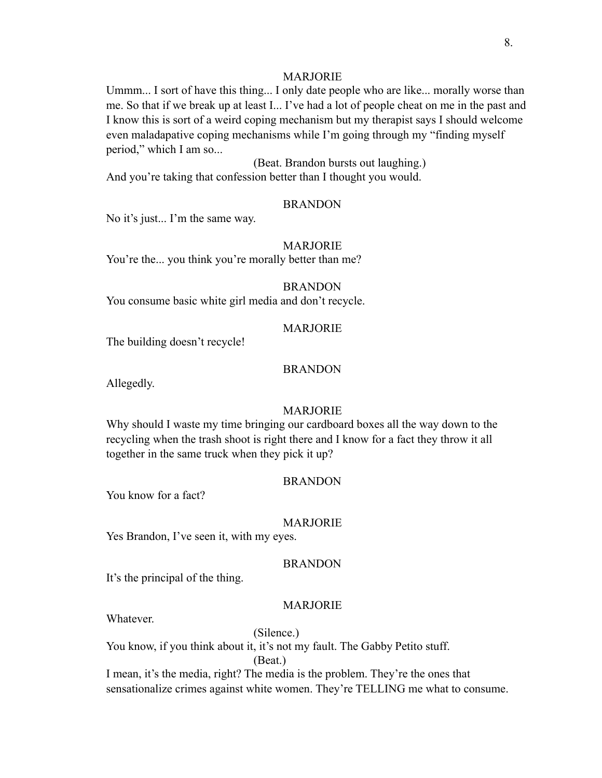# MARJORIE

Ummm... I sort of have this thing... I only date people who are like... morally worse than me. So that if we break up at least I... I've had a lot of people cheat on me in the past and I know this is sort of a weird coping mechanism but my therapist says I should welcome even maladapative coping mechanisms while I'm going through my "finding myself period," which I am so...

(Beat. Brandon bursts out laughing.) And you're taking that confession better than I thought you would.

#### BRANDON

No it's just... I'm the same way.

MARJORIE You're the... you think you're morally better than me?

#### BRANDON

You consume basic white girl media and don't recycle.

#### MARJORIE

The building doesn't recycle!

## BRANDON

Allegedly.

#### MARJORIE

Why should I waste my time bringing our cardboard boxes all the way down to the recycling when the trash shoot is right there and I know for a fact they throw it all together in the same truck when they pick it up?

#### BRANDON

You know for a fact?

#### MARJORIE

Yes Brandon, I've seen it, with my eyes.

#### BRANDON

It's the principal of the thing.

#### MARJORIE

**Whatever** 

(Silence.) You know, if you think about it, it's not my fault. The Gabby Petito stuff.

(Beat.)

I mean, it's the media, right? The media is the problem. They're the ones that sensationalize crimes against white women. They're TELLING me what to consume.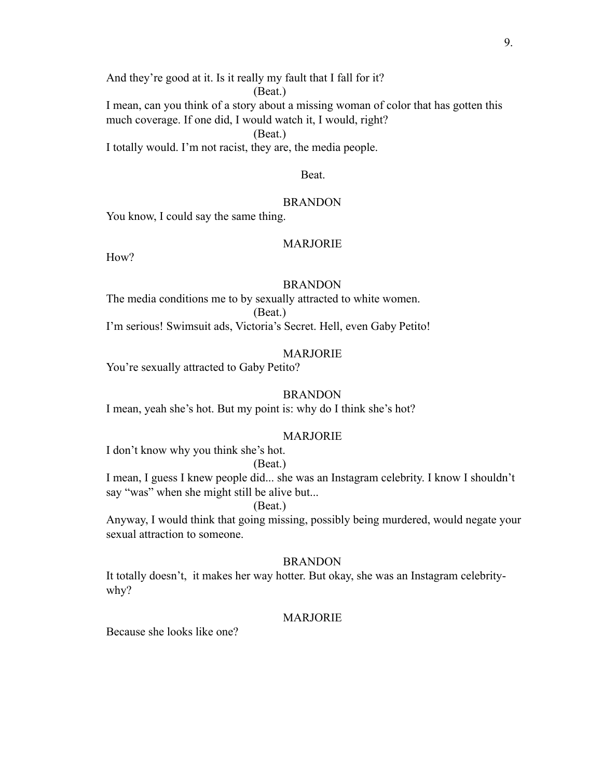And they're good at it. Is it really my fault that I fall for it?

(Beat.)

I mean, can you think of a story about a missing woman of color that has gotten this much coverage. If one did, I would watch it, I would, right?

(Beat.)

I totally would. I'm not racist, they are, the media people.

## Beat.

#### **BRANDON**

You know, I could say the same thing.

## MARJORIE

How?

#### BRANDON

The media conditions me to by sexually attracted to white women. (Beat.)

I'm serious! Swimsuit ads, Victoria's Secret. Hell, even Gaby Petito!

#### MARJORIE

You're sexually attracted to Gaby Petito?

#### **BRANDON**

I mean, yeah she's hot. But my point is: why do I think she's hot?

#### MARJORIE

I don't know why you think she's hot.

#### (Beat.)

I mean, I guess I knew people did... she was an Instagram celebrity. I know I shouldn't say "was" when she might still be alive but...

#### (Beat.)

Anyway, I would think that going missing, possibly being murdered, would negate your sexual attraction to someone.

# **BRANDON**

It totally doesn't, it makes her way hotter. But okay, she was an Instagram celebritywhy?

## MARJORIE

Because she looks like one?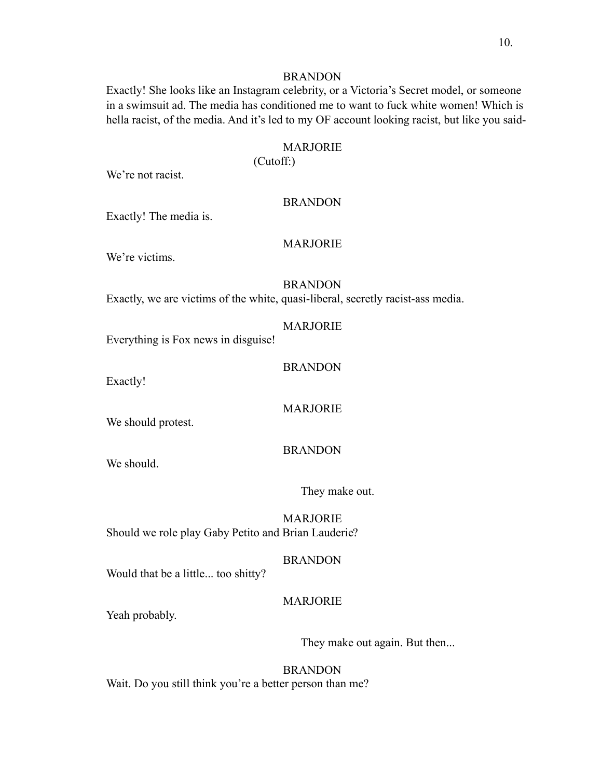Exactly! She looks like an Instagram celebrity, or a Victoria's Secret model, or someone in a swimsuit ad. The media has conditioned me to want to fuck white women! Which is hella racist, of the media. And it's led to my OF account looking racist, but like you said-

# MARJORIE

(Cutoff:)

We're not racist.

#### BRANDON

Exactly! The media is.

## MARJORIE

We're victims.

## BRANDON

Exactly, we are victims of the white, quasi-liberal, secretly racist-ass media.

# MARJORIE

Everything is Fox news in disguise!

#### BRANDON

Exactly!

MARJORIE

We should protest.

## BRANDON

We should.

They make out.

MARJORIE Should we role play Gaby Petito and Brian Lauderie?

#### BRANDON

Would that be a little... too shitty?

# MARJORIE

Yeah probably.

They make out again. But then...

BRANDON Wait. Do you still think you're a better person than me?